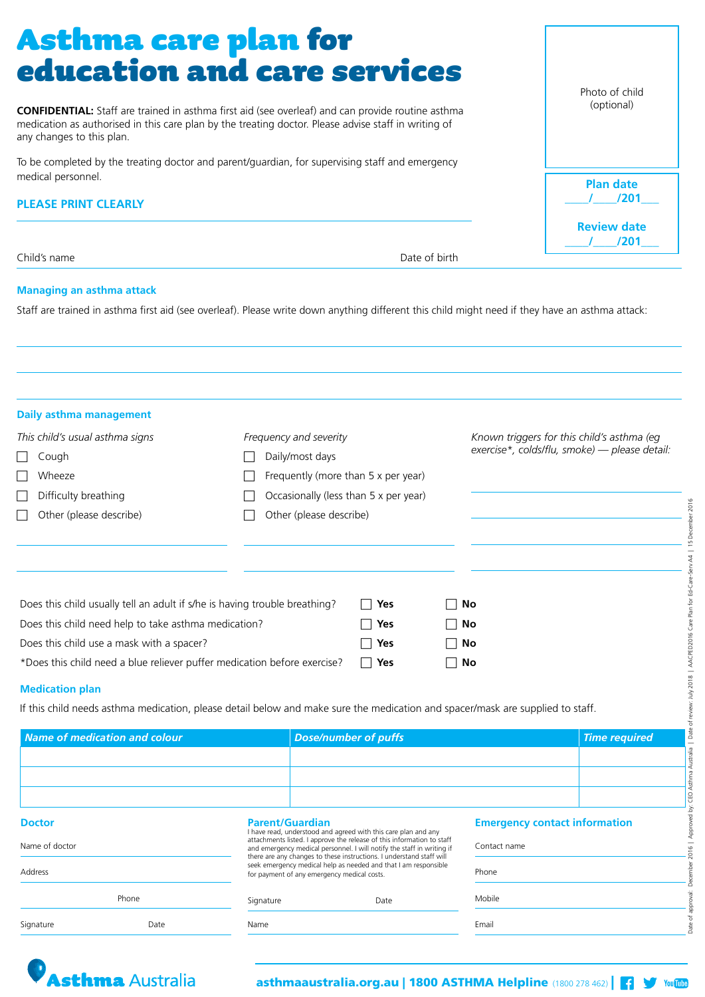## Asthma care plan for education and care services

**CONFIDENTIAL:** Staff are trained in asthma first aid (see overleaf) and can provide routine asthma medication as authorised in this care plan by the treating doctor. Please advise staff in writing of any changes to this plan.

To be completed by the treating doctor and parent/guardian, for supervising staff and emergency medical personnel.

#### **PLEASE PRINT CLEARLY**

Child's name **Date of birth and Date of birth and Date of birth and Date of birth and Date of birth and Date of birth and Date of birth and Date of birth and Date of birth and Date of Date of Date of Date of Date of Date o** 

Photo of child (optional)

**Plan date \_\_\_\_/\_\_\_\_/201\_\_\_**

**Review date \_\_\_\_/\_\_\_\_/201\_\_\_**

#### **Managing an asthma attack**

Staff are trained in asthma first aid (see overleaf). Please write down anything different this child might need if they have an asthma attack:

| <b>Daily asthma management</b>                                             |                                       |                          |      |                                               |
|----------------------------------------------------------------------------|---------------------------------------|--------------------------|------|-----------------------------------------------|
| This child's usual asthma signs                                            | Frequency and severity                |                          |      | Known triggers for this child's asthma (eg)   |
| Cough                                                                      | Daily/most days                       |                          |      | exercise*, colds/flu, smoke) — please detail: |
| Wheeze                                                                     | Frequently (more than 5 x per year)   |                          |      |                                               |
| Difficulty breathing                                                       | Occasionally (less than 5 x per year) |                          |      |                                               |
| Other (please describe)                                                    |                                       | Other (please describe)  |      |                                               |
|                                                                            |                                       |                          |      |                                               |
| Does this child usually tell an adult if s/he is having trouble breathing? |                                       | $\Box$ Yes               | □ No |                                               |
| Does this child need help to take asthma medication?                       |                                       | Yes<br>$\mathsf{L}$      | □ No |                                               |
| Does this child use a mask with a spacer?                                  |                                       | Yes<br>$\vert \ \ \vert$ | □ No |                                               |
| *Does this child need a blue reliever puffer medication before exercise?   |                                       | Yes<br>$\vert \ \ \vert$ | ヿ No |                                               |

#### **Medication plan**

| <b>DITIOUTY DICUTIIII</b>                                                                                    |                                                                                                                                | $O_{\text{CC}}$ order than $\gamma$ (resp. than $\beta$ $\lambda$ $\rho$ Cr $\gamma$ car)                           |                                                                                                                                                  |              |                                      |
|--------------------------------------------------------------------------------------------------------------|--------------------------------------------------------------------------------------------------------------------------------|---------------------------------------------------------------------------------------------------------------------|--------------------------------------------------------------------------------------------------------------------------------------------------|--------------|--------------------------------------|
| Other (please describe)                                                                                      |                                                                                                                                | Other (please describe)                                                                                             |                                                                                                                                                  |              |                                      |
|                                                                                                              |                                                                                                                                |                                                                                                                     |                                                                                                                                                  |              |                                      |
|                                                                                                              | Does this child usually tell an adult if s/he is having trouble breathing?                                                     |                                                                                                                     | Yes                                                                                                                                              | No           |                                      |
|                                                                                                              | Does this child need help to take asthma medication?                                                                           |                                                                                                                     | Yes                                                                                                                                              | No           |                                      |
|                                                                                                              | Does this child use a mask with a spacer?                                                                                      |                                                                                                                     | Yes                                                                                                                                              | No           |                                      |
|                                                                                                              | *Does this child need a blue reliever puffer medication before exercise?                                                       |                                                                                                                     | Yes                                                                                                                                              | No           |                                      |
|                                                                                                              |                                                                                                                                |                                                                                                                     |                                                                                                                                                  |              |                                      |
|                                                                                                              |                                                                                                                                |                                                                                                                     |                                                                                                                                                  |              |                                      |
|                                                                                                              | If this child needs asthma medication, please detail below and make sure the medication and spacer/mask are supplied to staff. |                                                                                                                     |                                                                                                                                                  |              |                                      |
|                                                                                                              |                                                                                                                                |                                                                                                                     | <b>Dose/number of puffs</b>                                                                                                                      |              | <b>Time required</b>                 |
|                                                                                                              |                                                                                                                                |                                                                                                                     |                                                                                                                                                  |              |                                      |
|                                                                                                              |                                                                                                                                |                                                                                                                     |                                                                                                                                                  |              |                                      |
|                                                                                                              |                                                                                                                                |                                                                                                                     |                                                                                                                                                  |              |                                      |
|                                                                                                              |                                                                                                                                | <b>Parent/Guardian</b><br>I have read, understood and agreed with this care plan and any                            |                                                                                                                                                  |              | <b>Emergency contact information</b> |
|                                                                                                              |                                                                                                                                |                                                                                                                     | attachments listed. I approve the release of this information to staff<br>and emergency medical personnel. I will notify the staff in writing if | Contact name |                                      |
|                                                                                                              |                                                                                                                                | there are any changes to these instructions. I understand staff will<br>for payment of any emergency medical costs. | seek emergency medical help as needed and that I am responsible                                                                                  | Phone        |                                      |
| <b>Medication plan</b><br><b>Name of medication and colour</b><br><b>Doctor</b><br>Name of doctor<br>Address | Phone                                                                                                                          | Signature                                                                                                           | Date                                                                                                                                             | Mobile       |                                      |